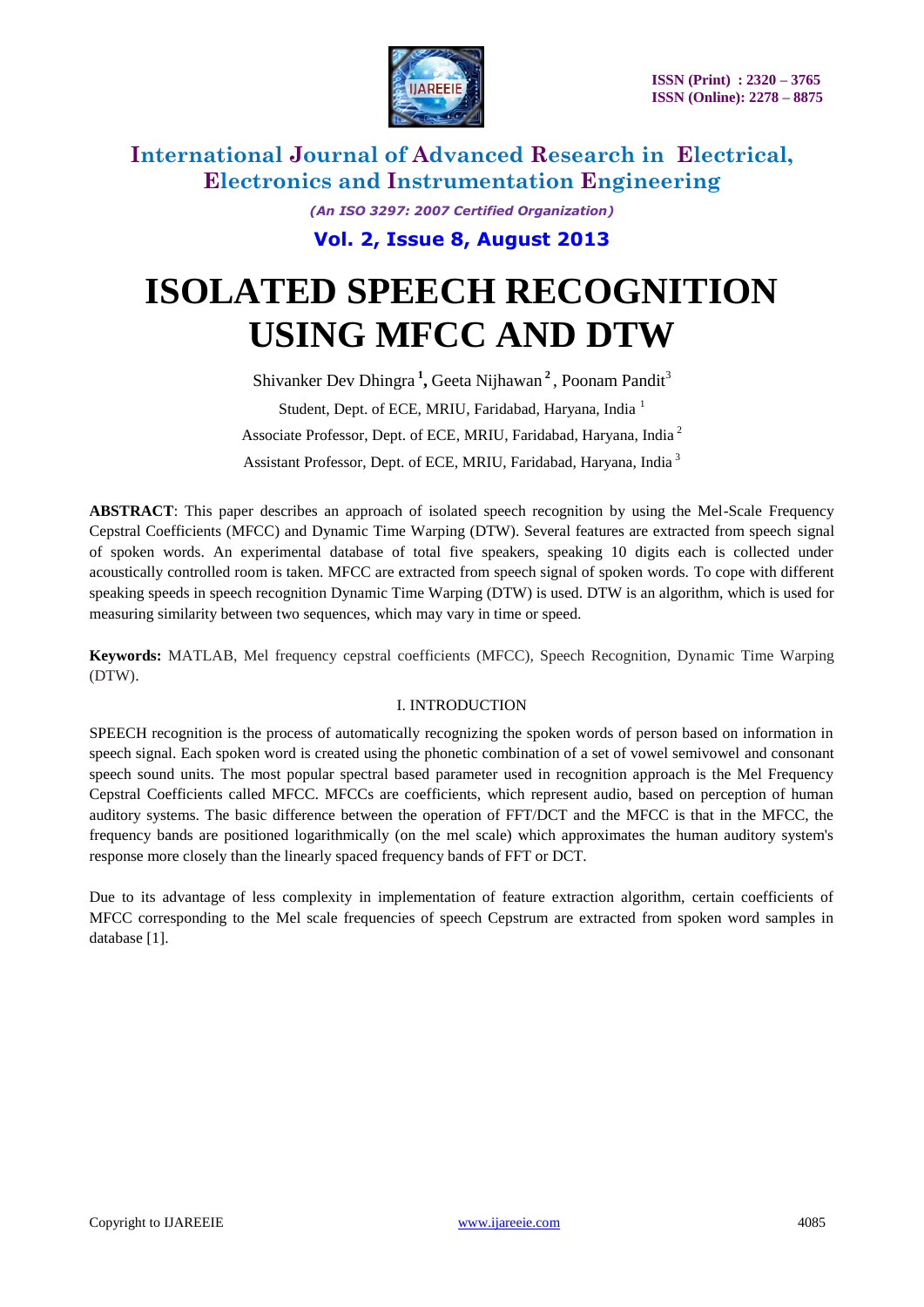

*(An ISO 3297: 2007 Certified Organization)*

**Vol. 2, Issue 8, August 2013**

# **ISOLATED SPEECH RECOGNITION USING MFCC AND DTW**

Shivanker Dev Dhingra<sup>1</sup>, Geeta Nijhawan<sup>2</sup>, Poonam Pandit<sup>3</sup> Student, Dept. of ECE, MRIU, Faridabad, Haryana, India<sup>1</sup> Associate Professor, Dept. of ECE, MRIU, Faridabad, Haryana, India <sup>2</sup> Assistant Professor, Dept. of ECE, MRIU, Faridabad, Haryana, India<sup>3</sup>

**ABSTRACT**: This paper describes an approach of isolated speech recognition by using the Mel-Scale Frequency Cepstral Coefficients (MFCC) and Dynamic Time Warping (DTW). Several features are extracted from speech signal of spoken words. An experimental database of total five speakers, speaking 10 digits each is collected under acoustically controlled room is taken. MFCC are extracted from speech signal of spoken words. To cope with different speaking speeds in speech recognition Dynamic Time Warping (DTW) is used. DTW is an algorithm, which is used for measuring similarity between two sequences, which may vary in time or speed.

**Keywords:** MATLAB, Mel frequency cepstral coefficients (MFCC), Speech Recognition, Dynamic Time Warping (DTW).

#### I. INTRODUCTION

SPEECH recognition is the process of automatically recognizing the spoken words of person based on information in speech signal. Each spoken word is created using the phonetic combination of a set of vowel semivowel and consonant speech sound units. The most popular spectral based parameter used in recognition approach is the Mel Frequency Cepstral Coefficients called MFCC. MFCCs are coefficients, which represent audio, based on perception of human auditory systems. The basic difference between the operation of FFT/DCT and the MFCC is that in the MFCC, the frequency bands are positioned logarithmically (on the mel scale) which approximates the human auditory system's response more closely than the linearly spaced frequency bands of FFT or DCT.

Due to its advantage of less complexity in implementation of feature extraction algorithm, certain coefficients of MFCC corresponding to the Mel scale frequencies of speech Cepstrum are extracted from spoken word samples in database [1].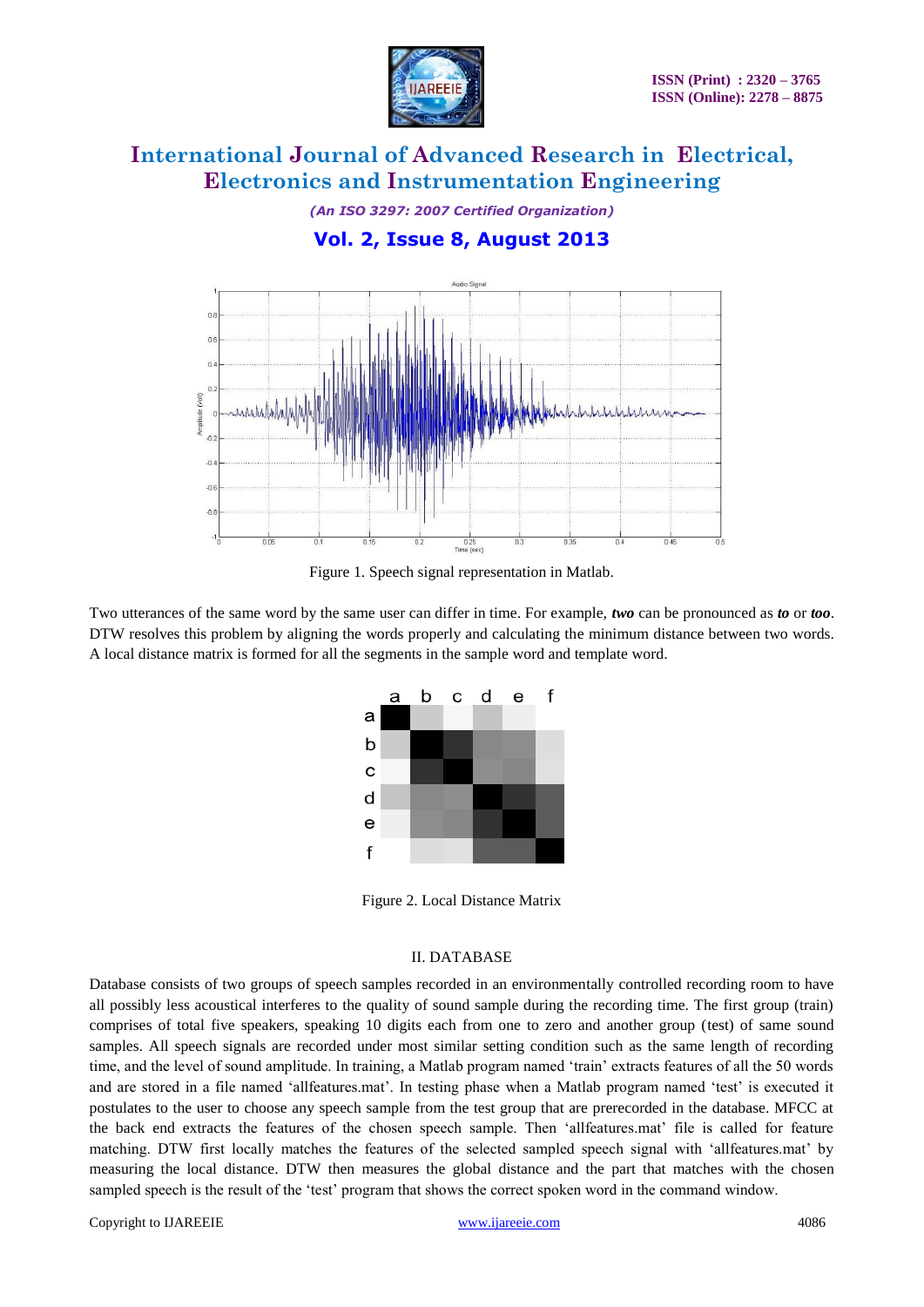

*(An ISO 3297: 2007 Certified Organization)*

### **Vol. 2, Issue 8, August 2013**



Figure 1. Speech signal representation in Matlab.

Two utterances of the same word by the same user can differ in time. For example, *two* can be pronounced as *to* or *too*. DTW resolves this problem by aligning the words properly and calculating the minimum distance between two words. A local distance matrix is formed for all the segments in the sample word and template word.



Figure 2. Local Distance Matrix

#### II. DATABASE

Database consists of two groups of speech samples recorded in an environmentally controlled recording room to have all possibly less acoustical interferes to the quality of sound sample during the recording time. The first group (train) comprises of total five speakers, speaking 10 digits each from one to zero and another group (test) of same sound samples. All speech signals are recorded under most similar setting condition such as the same length of recording time, and the level of sound amplitude. In training, a Matlab program named "train" extracts features of all the 50 words and are stored in a file named "allfeatures.mat". In testing phase when a Matlab program named "test" is executed it postulates to the user to choose any speech sample from the test group that are prerecorded in the database. MFCC at the back end extracts the features of the chosen speech sample. Then 'allfeatures.mat' file is called for feature matching. DTW first locally matches the features of the selected sampled speech signal with "allfeatures.mat" by measuring the local distance. DTW then measures the global distance and the part that matches with the chosen sampled speech is the result of the 'test' program that shows the correct spoken word in the command window.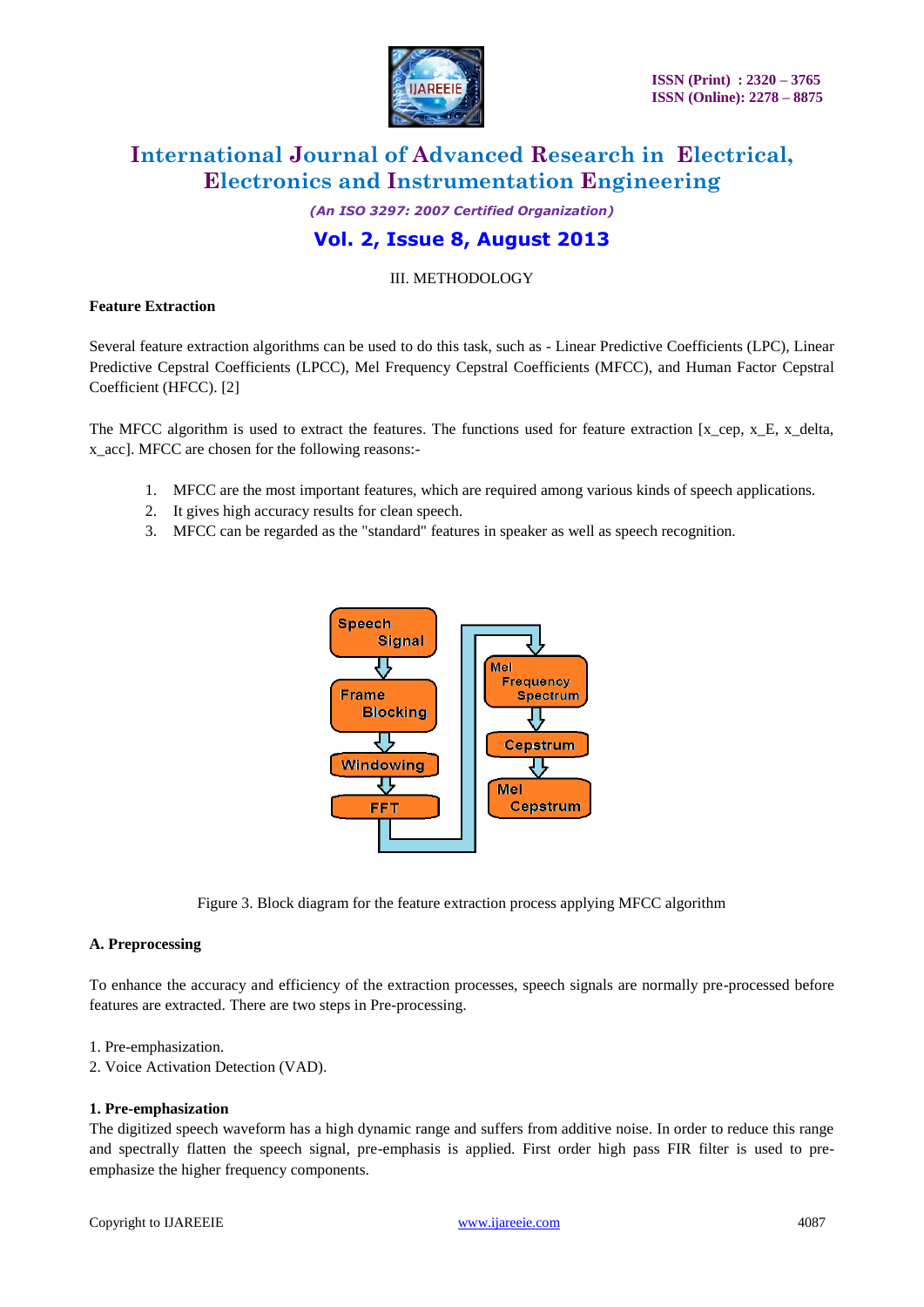

*(An ISO 3297: 2007 Certified Organization)*

### **Vol. 2, Issue 8, August 2013**

III. METHODOLOGY

#### **Feature Extraction**

Several feature extraction algorithms can be used to do this task, such as - Linear Predictive Coefficients (LPC), Linear Predictive Cepstral Coefficients (LPCC), Mel Frequency Cepstral Coefficients (MFCC), and Human Factor Cepstral Coefficient (HFCC). [2]

The MFCC algorithm is used to extract the features. The functions used for feature extraction  $[x_cep, x_E, x_delta]$ , x\_acc]. MFCC are chosen for the following reasons:-

- 1. MFCC are the most important features, which are required among various kinds of speech applications.
- 2. It gives high accuracy results for clean speech.
- 3. MFCC can be regarded as the "standard" features in speaker as well as speech recognition.



Figure 3. Block diagram for the feature extraction process applying MFCC algorithm

#### **A. Preprocessing**

To enhance the accuracy and efficiency of the extraction processes, speech signals are normally pre-processed before features are extracted. There are two steps in Pre-processing.

#### 1. Pre-emphasization.

2. Voice Activation Detection (VAD).

#### **1. Pre-emphasization**

The digitized speech waveform has a high dynamic range and suffers from additive noise. In order to reduce this range and spectrally flatten the speech signal, pre-emphasis is applied. First order high pass FIR filter is used to preemphasize the higher frequency components.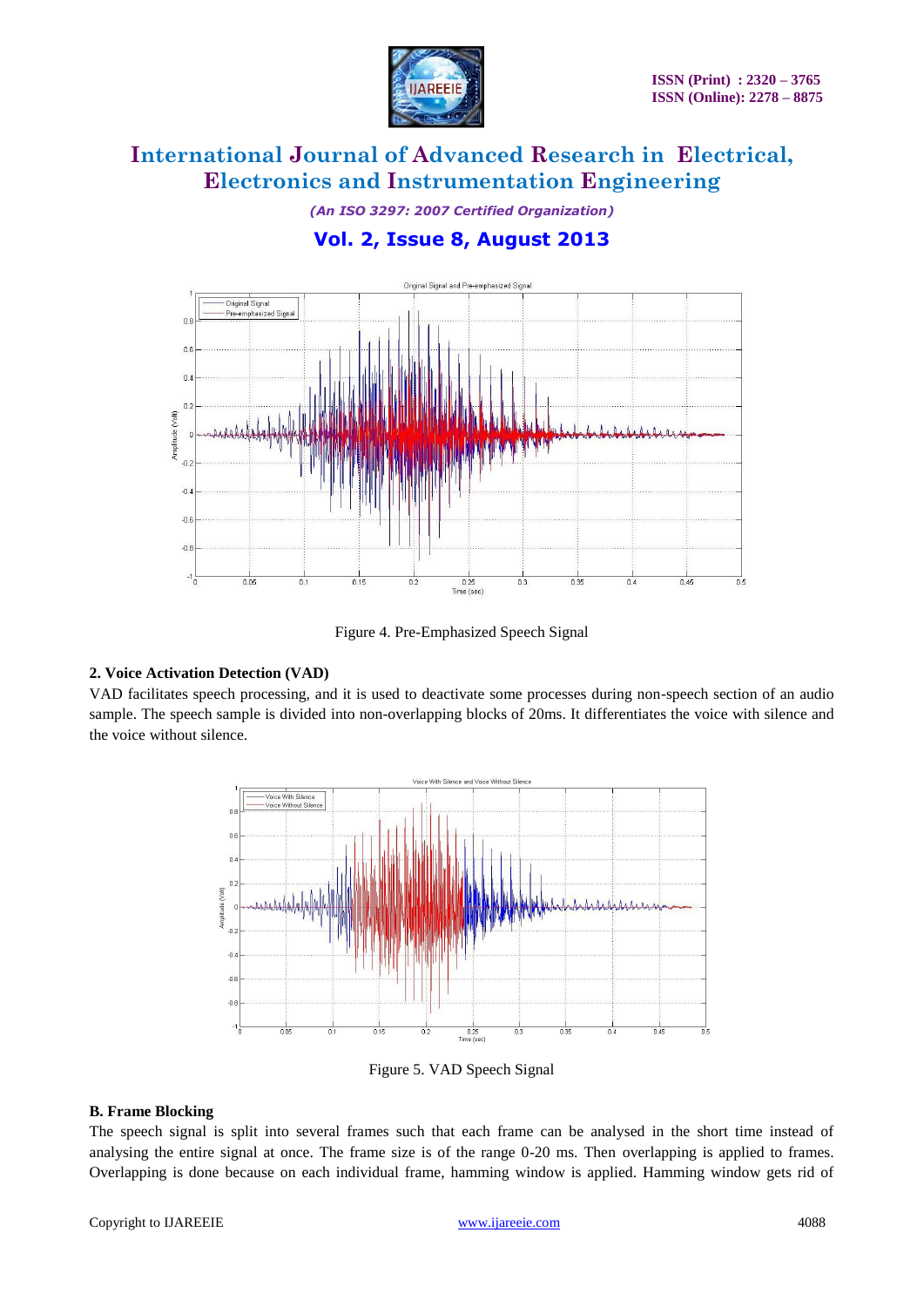

*(An ISO 3297: 2007 Certified Organization)*

### **Vol. 2, Issue 8, August 2013**



Figure 4. Pre-Emphasized Speech Signal

#### **2. Voice Activation Detection (VAD)**

VAD facilitates speech processing, and it is used to deactivate some processes during non-speech section of an audio sample. The speech sample is divided into non-overlapping blocks of 20ms. It differentiates the voice with silence and the voice without silence.



Figure 5. VAD Speech Signal

#### **B. Frame Blocking**

The speech signal is split into several frames such that each frame can be analysed in the short time instead of analysing the entire signal at once. The frame size is of the range 0-20 ms. Then overlapping is applied to frames. Overlapping is done because on each individual frame, hamming window is applied. Hamming window gets rid of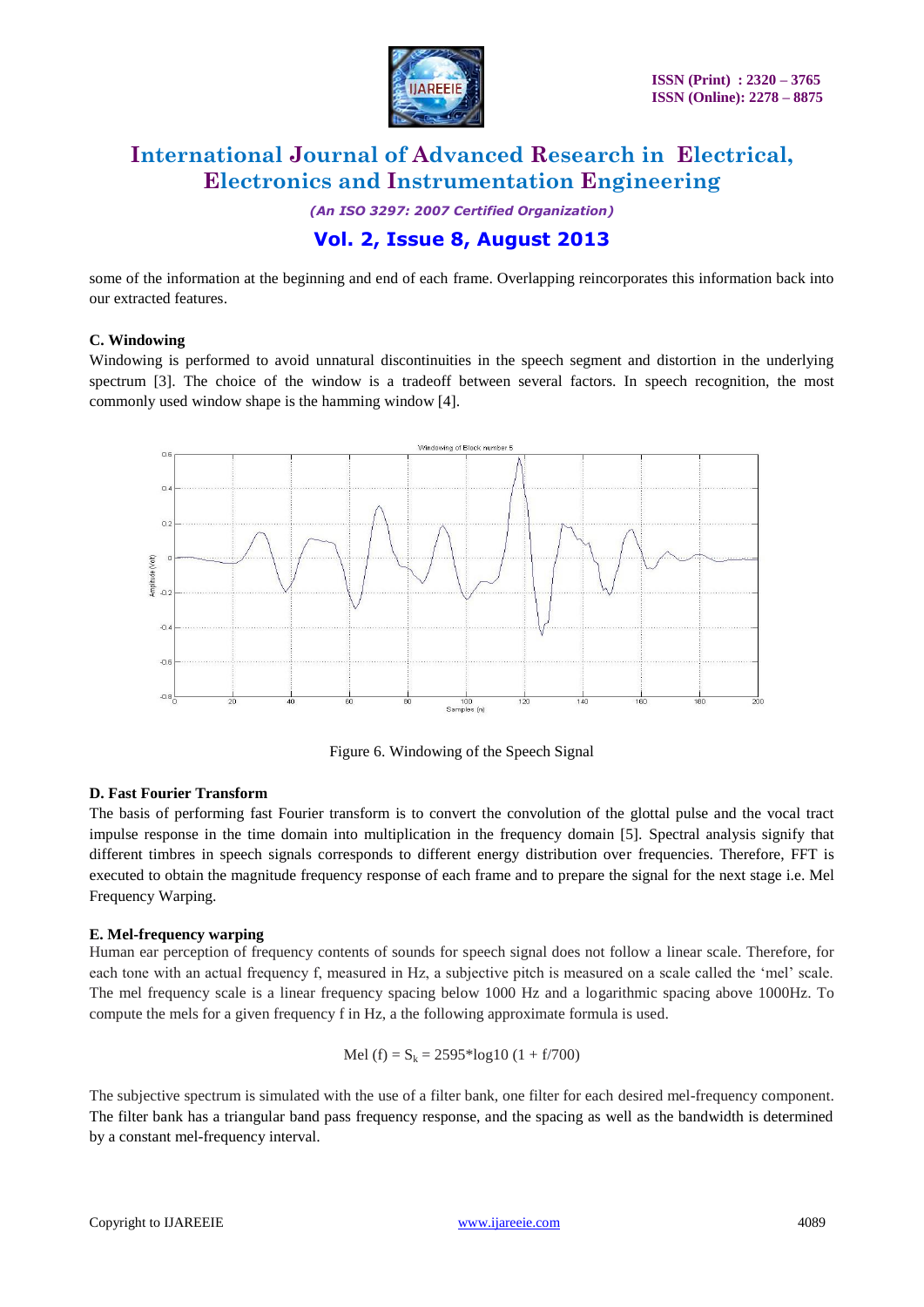

*(An ISO 3297: 2007 Certified Organization)*

### **Vol. 2, Issue 8, August 2013**

some of the information at the beginning and end of each frame. Overlapping reincorporates this information back into our extracted features.

#### **C. Windowing**

Windowing is performed to avoid unnatural discontinuities in the speech segment and distortion in the underlying spectrum [3]. The choice of the window is a tradeoff between several factors. In speech recognition, the most commonly used window shape is the hamming window [4].



Figure 6. Windowing of the Speech Signal

#### **D. Fast Fourier Transform**

The basis of performing fast Fourier transform is to convert the convolution of the glottal pulse and the vocal tract impulse response in the time domain into multiplication in the frequency domain [5]. Spectral analysis signify that different timbres in speech signals corresponds to different energy distribution over frequencies. Therefore, FFT is executed to obtain the magnitude frequency response of each frame and to prepare the signal for the next stage i.e. Mel Frequency Warping.

#### **E. Mel-frequency warping**

Human ear perception of frequency contents of sounds for speech signal does not follow a linear scale. Therefore, for each tone with an actual frequency f, measured in Hz, a subjective pitch is measured on a scale called the "mel" scale. The mel frequency scale is a linear frequency spacing below 1000 Hz and a logarithmic spacing above 1000Hz. To compute the mels for a given frequency f in Hz, a the following approximate formula is used.

Mel (f) = 
$$
S_k
$$
 = 2595<sup>\*</sup>log10 (1 + f/700)

The subjective spectrum is simulated with the use of a filter bank, one filter for each desired mel-frequency component. The filter bank has a triangular band pass frequency response, and the spacing as well as the bandwidth is determined by a constant mel-frequency interval.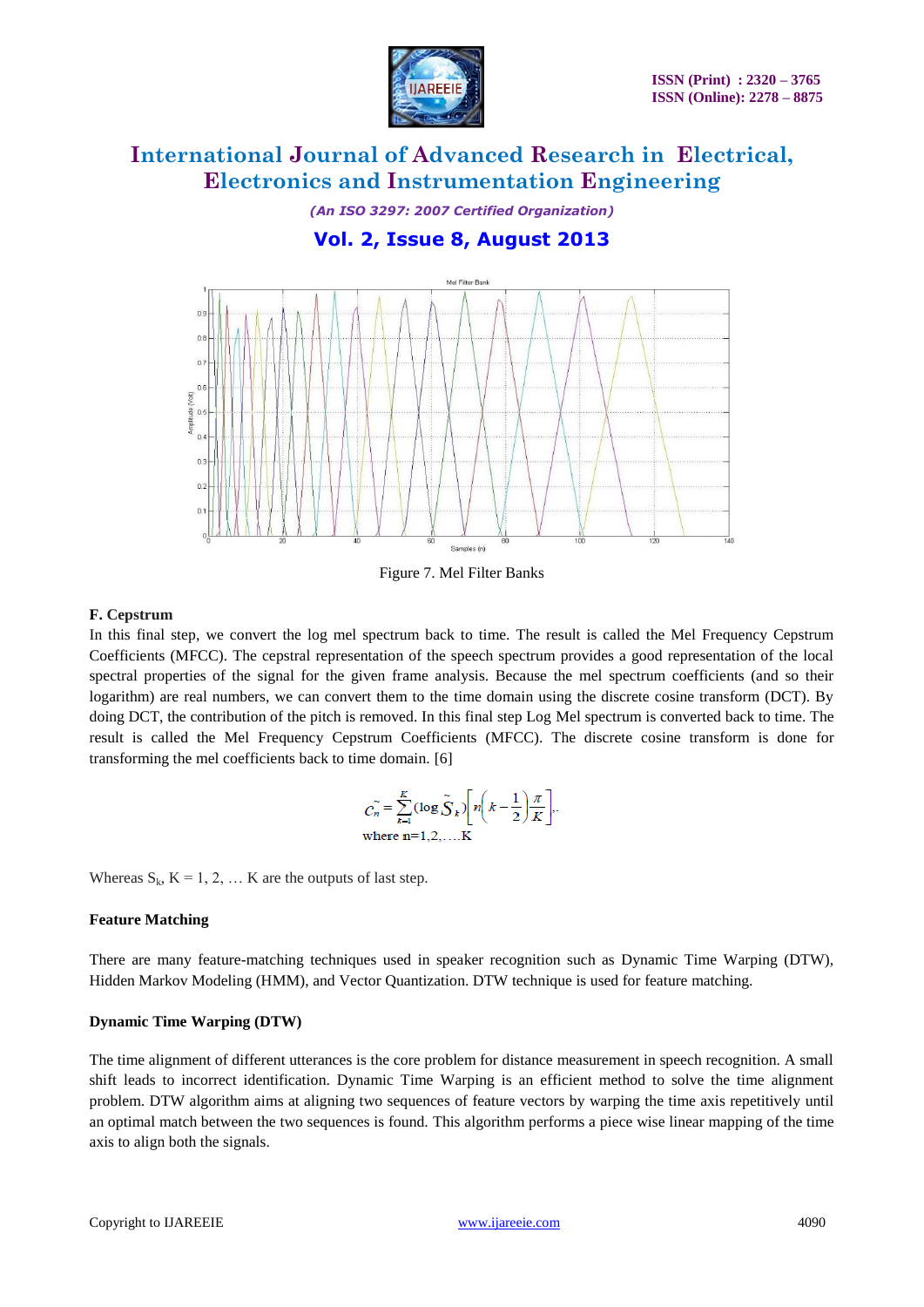

*(An ISO 3297: 2007 Certified Organization)*

### **Vol. 2, Issue 8, August 2013**



Figure 7. Mel Filter Banks

#### **F. Cepstrum**

In this final step, we convert the log mel spectrum back to time. The result is called the Mel Frequency Cepstrum Coefficients (MFCC). The cepstral representation of the speech spectrum provides a good representation of the local spectral properties of the signal for the given frame analysis. Because the mel spectrum coefficients (and so their logarithm) are real numbers, we can convert them to the time domain using the discrete cosine transform (DCT). By doing DCT, the contribution of the pitch is removed. In this final step Log Mel spectrum is converted back to time. The result is called the Mel Frequency Cepstrum Coefficients (MFCC). The discrete cosine transform is done for transforming the mel coefficients back to time domain. [6]

$$
C_n = \sum_{k=1}^{K} (\log \tilde{S}_k) \left[ n \left( k - \frac{1}{2} \right) \frac{\pi}{K} \right],
$$
  
where n=1,2,...K

Whereas  $S_k$ ,  $K = 1, 2, ... K$  are the outputs of last step.

#### **Feature Matching**

There are many feature-matching techniques used in speaker recognition such as Dynamic Time Warping (DTW), Hidden Markov Modeling (HMM), and Vector Quantization. DTW technique is used for feature matching.

#### **Dynamic Time Warping (DTW)**

The time alignment of different utterances is the core problem for distance measurement in speech recognition. A small shift leads to incorrect identification. Dynamic Time Warping is an efficient method to solve the time alignment problem. DTW algorithm aims at aligning two sequences of feature vectors by warping the time axis repetitively until an optimal match between the two sequences is found. This algorithm performs a piece wise linear mapping of the time axis to align both the signals.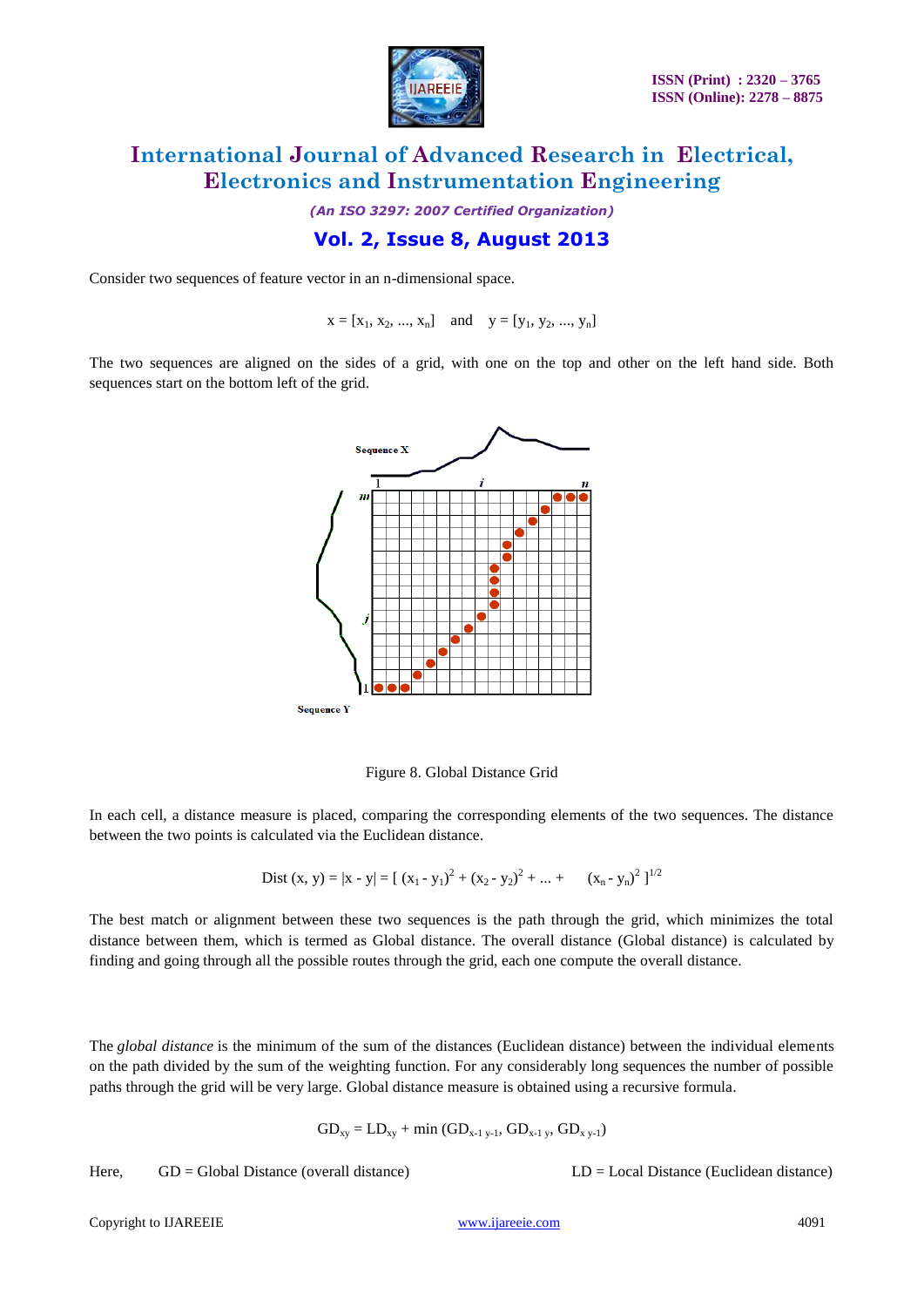

*(An ISO 3297: 2007 Certified Organization)*

### **Vol. 2, Issue 8, August 2013**

Consider two sequences of feature vector in an n-dimensional space.

 $x = [x_1, x_2, ..., x_n]$  and  $y = [y_1, y_2, ..., y_n]$ 

The two sequences are aligned on the sides of a grid, with one on the top and other on the left hand side. Both sequences start on the bottom left of the grid.



Figure 8. Global Distance Grid

In each cell, a distance measure is placed, comparing the corresponding elements of the two sequences. The distance between the two points is calculated via the Euclidean distance.

Dist (x, y) = 
$$
|x - y|
$$
 =  $[(x_1 - y_1)^2 + (x_2 - y_2)^2 + ... + (x_n - y_n)^2]^{1/2}$ 

The best match or alignment between these two sequences is the path through the grid, which minimizes the total distance between them, which is termed as Global distance. The overall distance (Global distance) is calculated by finding and going through all the possible routes through the grid, each one compute the overall distance.

The *global distance* is the minimum of the sum of the distances (Euclidean distance) between the individual elements on the path divided by the sum of the weighting function. For any considerably long sequences the number of possible paths through the grid will be very large. Global distance measure is obtained using a recursive formula.

$$
GD_{xy} = LD_{xy} + min (GD_{x-1 y-1}, GD_{x-1 y}, GD_{x y-1})
$$

Here, GD = Global Distance (overall distance) LD = Local Distance (Euclidean distance)

Copyright to IJAREEIE [www.ijareeie.com](http://www.ijareeie.com/) 4091